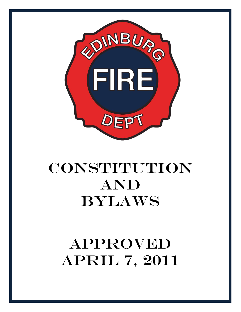

# **CONSTITUTION** AND BYLAWS

# APPROVED APRIL 7, 2011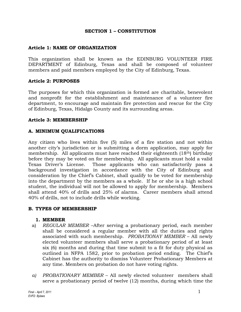#### **SECTION 1 – CONSTITUTION**

## **Article 1: NAME OF ORGANIZATION**

This organization shall be known as the EDINBURG VOLUNTEER FIRE DEPARTMENT of Edinburg, Texas and shall be composed of volunteer members and paid members employed by the City of Edinburg, Texas.

#### **Article 2: PURPOSES**

The purposes for which this organization is formed are charitable, benevolent and nonprofit for the establishment and maintenance of a volunteer fire department, to encourage and maintain fire protection and rescue for the City of Edinburg, Texas, Hidalgo County and its surrounding areas.

## **Article 3: MEMBERSHIP**

## **A. MINIMUM QUALIFICATIONS**

Any citizen who lives within five (5) miles of a fire station and not within another city's jurisdiction or is submitting a dorm application, may apply for membership. All applicants must have reached their eighteenth (18th) birthday before they may be voted on for membership. All applicants must hold a valid Texas Driver's License. Those applicants who can satisfactorily pass a background investigation in accordance with the City of Edinburg and consideration by the Chief's Cabinet, shall qualify to be voted for membership into the department by the members as a whole. If he or she is a high school student, the individual will not be allowed to apply for membership. Members shall attend 40% of drills and 25% of alarms. Career members shall attend 40% of drills, not to include drills while working.

#### **B. TYPES OF MEMBERSHIP**

#### **1. MEMBER**

- a) *REGULAR MEMBER* –After serving a probationary period, each member shall be considered a regular member with all the duties and rights associated with such membership. *PROBATIONAY MEMBER* – All newly elected volunteer members shall serve a probationary period of at least six (6) months and during that time submit to a fit for duty physical as outlined in NFPA 1582, prior to probation period ending. The Chief's Cabinet has the authority to dismiss Volunteer Probationary Members at any time. Members on probation do not have voting rights.
- *a) PROBATIONARY MEMBER*  All newly elected volunteer members shall serve a probationary period of twelve (12) months, during which time the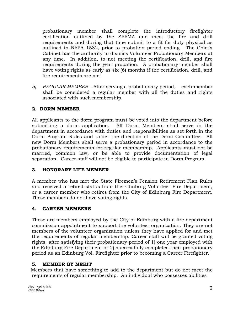probationary member shall complete the introductory firefighter certification outlined by the SFFMA and meet the fire and drill requirements and during that time submit to a fit for duty physical as outlined in NFPA 1582, prior to probation period ending. The Chief's Cabinet has the authority to dismiss Volunteer Probationary Members at any time. In addition, to not meeting the certification, drill, and fire requirements during the year probation. A probationary member shall have voting rights as early as six (6) months if the certification, drill, and fire requirements are met.

*b) REGULAR MEMBER –* After serving a probationary period,each member shall be considered a regular member with all the duties and rights associated with such membership.

# **2. DORM MEMBER**

All applicants to the dorm program must be voted into the department before submitting a dorm application. All Dorm Members shall serve in the department in accordance with duties and responsibilities as set forth in the Dorm Program Rules and under the direction of the Dorm Committee. All new Dorm Members shall serve a probationary period in accordance to the probationary requirements for regular membership. Applicants must not be married, common law, or be able to provide documentation of legal separation. Career staff will not be eligible to participate in Dorm Program.

# **3. HONORARY LIFE MEMBER**

A member who has met the State Firemen's Pension Retirement Plan Rules and received a retired status from the Edinburg Volunteer Fire Department, or a career member who retires from the City of Edinburg Fire Department. These members do not have voting rights.

# **4. CAREER MEMBERS**

These are members employed by the City of Edinburg with a fire department commission appointment to support the volunteer organization. They are not members of the volunteer organization unless they have applied for and met the requirements of regular membership. Career staff will be granted voting rights, after satisfying their probationary period of 1) one year employed with the Edinburg Fire Department or 2) successfully completed their probationary period as an Edinburg Vol. Firefighter prior to becoming a Career Firefighter.

# **5. MEMBER BY MERIT**

Members that have something to add to the department but do not meet the requirements of regular membership. An individual who possesses abilities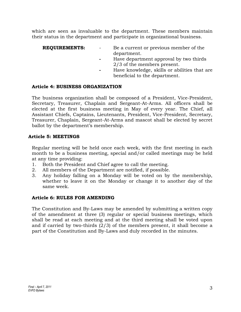which are seen as invaluable to the department. These members maintain their status in the department and participate in organizational business.

**REQUIREMENTS:** - Be a current or previous member of the department. **-** Have department approval by two thirds

- 2/3 of the members present.
- **-** Have knowledge, skills or abilities that are beneficial to the department.

# **Article 4: BUSINESS ORGANIZATION**

The business organization shall be composed of a President, Vice-President, Secretary, Treasurer, Chaplain and Sergeant-At-Arms. All officers shall be elected at the first business meeting in May of every year. The Chief, all Assistant Chiefs, Captains, Lieutenants, President, Vice-President, Secretary, Treasurer, Chaplain, Sergeant-At-Arms and mascot shall be elected by secret ballot by the department's membership.

# **Article 5: MEETINGS**

Regular meeting will be held once each week, with the first meeting in each month to be a business meeting, special and/or called meetings may be held at any time providing:

- 1. Both the President and Chief agree to call the meeting.
- 2. All members of the Department are notified, if possible.
- 3. Any holiday falling on a Monday will be voted on by the membership, whether to leave it on the Monday or change it to another day of the same week.

# **Article 6: RULES FOR AMENDING**

The Constitution and By-Laws may be amended by submitting a written copy of the amendment at three (3) regular or special business meetings, which shall be read at each meeting and at the third meeting shall be voted upon and if carried by two-thirds (2/3) of the members present, it shall become a part of the Constitution and By-Laws and duly recorded in the minutes.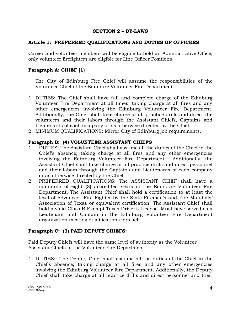#### **SECTION 2 – BY-LAWS**

## **Article 1: PREFERRED QUALIFICATIONS AND DUTIES OF OFFICRES**

Career and volunteer members will be eligible to hold an Administrative Office; only volunteer firefighters are eligible for Line Officer Positions.

## **Paragraph A: CHIEF (1)**

The City of Edinburg Fire Chief will assume the responsibilities of the Volunteer Chief of the Edinburg Volunteer Fire Department.

- 1. DUTIES: The Chief shall have full and complete charge of the Edinburg Volunteer Fire Department at all times, taking charge at all fires and any other emergencies involving the Edinburg Volunteer Fire Department. Additionally, the Chief shall take charge at all practice drills and direct the volunteers and their labors through the Assistant Chiefs, Captains and Lieutenants of each company or as otherwise directed by the Chief.
- 2. MINIMUM QUALIFICATIONS: Mirror City of Edinburg job requirements.

## **Paragraph B: (4) VOLUNTEER ASSISTANT CHIEFS**

- 1. DUTIES: The Assistant Chief shall assume all the duties of the Chief in the Chief's absence; taking charge at all fires and any other emergencies involving the Edinburg Volunteer Fire Department. Additionally, the Assistant Chief shall take charge at all practice drills and direct personnel and their labors through the Captains and Lieutenants of each company or as otherwise directed by the Chief.
- 2. PREFERRED QUALIFICATIONS: The ASSISTANT CHIEF shall have a minimum of eight (8) accredited years in the Edinburg Volunteer Fire Department. The Assistant Chief shall hold a certification to at least the level of Advanced Fire Fighter by the State Firemen's and Fire Marshals' Association of Texas or equivalent certification. The Assistant Chief shall hold a valid Class B Exempt Texas Driver's License. Must have served as a Lieutenant and Captain in the Edinburg Volunteer Fire Department organization meeting qualifications for each.

# **Paragraph C: (3) PAID DEPUTY CHIEFS:**

Paid Deputy Chiefs will have the same level of authority as the Volunteer Assistant Chiefs in the Volunteer Fire Department.

1. DUTIES: The Deputy Chief shall assume all the duties of the Chief in the Chief's absence; taking charge at all fires and any other emergencies involving the Edinburg Volunteer Fire Department. Additionally, the Deputy Chief shall take charge at all practice drills and direct personnel and their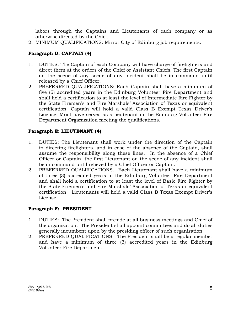labors through the Captains and Lieutenants of each company or as otherwise directed by the Chief.

2. MINIMUM QUALIFICATIONS: Mirror City of Edinburg job requirements.

# **Paragraph D: CAPTAIN (4)**

- 1. DUTIES: The Captain of each Company will have charge of firefighters and direct them at the orders of the Chief or Assistant Chiefs. The first Captain on the scene of any scene of any incident shall be in command until released by a Chief Officer.
- 2. PREFERRED QUALIFICATIONS: Each Captain shall have a minimum of five (5) accredited years in the Edinburg Volunteer Fire Department and shall hold a certification to at least the level of Intermediate Fire Fighter by the State Firemen's and Fire Marshals' Association of Texas or equivalent certification. Captain will hold a valid Class B Exempt Texas Driver's License. Must have served as a lieutenant in the Edinburg Volunteer Fire Department Organization meeting the qualifications.

# **Paragraph E: LIEUTENANT (4)**

- 1. DUTIES: The Lieutenant shall work under the direction of the Captain in directing firefighters, and in case of the absence of the Captain, shall assume the responsibility along these lines. In the absence of a Chief Officer or Captain, the first Lieutenant on the scene of any incident shall be in command until relieved by a Chief Officer or Captain.
- 2. PREFERRED QUALIFICATIONS. Each Lieutenant shall have a minimum of three (3) accredited years in the Edinburg Volunteer Fire Department and shall hold a certification to at least the level of Basic Fire Fighter by the State Firemen's and Fire Marshals' Association of Texas or equivalent certification. Lieutenants will hold a valid Class B Texas Exempt Driver's License.

# **Paragraph F: PRESIDENT**

- 1. DUTIES: The President shall preside at all business meetings and Chief of the organization. The President shall appoint committees and do all duties generally incumbent upon by the presiding officer of such organization.
- 2. PREFERRED QUALIFICATIONS: The President shall be a regular member and have a minimum of three (3) accredited years in the Edinburg Volunteer Fire Department.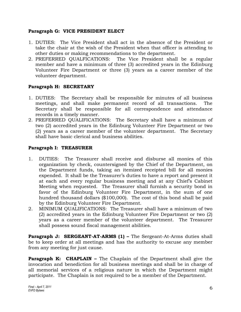## **Paragraph G: VICE PRESIDENT ELECT**

- 1. DUTIES: The Vice President shall act in the absence of the President or take the chair at the wish of the President when that officer is attending to other duties or making recommendations to the department.
- 2. PREFERRED QUALFICATIONS: The Vice President shall be a regular member and have a minimum of three (3) accredited years in the Edinburg Volunteer Fire Department or three (3) years as a career member of the volunteer department.

# **Paragraph H: SECRETARY**

- 1. DUTIES: The Secretary shall be responsible for minutes of all business meetings, and shall make permanent record of all transactions. The Secretary shall be responsible for all correspondence and attendance records in a timely manner.
- 2. PREFERRED QUALIFICATIONS: The Secretary shall have a minimum of two (2) accredited years in the Edinburg Volunteer Fire Department or two (2) years as a career member of the volunteer department. The Secretary shall have basic clerical and business abilities.

# **Paragraph I: TREASURER**

- 1. DUTIES: The Treasurer shall receive and disburse all monies of this organization by check, countersigned by the Chief of the Department, on the Department funds, taking an itemized receipted bill for all monies expended. It shall be the Treasurer's duties to have a report and present it at each and every regular business meeting and at any Chief's Cabinet Meeting when requested. The Treasurer shall furnish a security bond in favor of the Edinburg Volunteer Fire Department, in the sum of one hundred thousand dollars (\$100,000). The cost of this bond shall be paid by the Edinburg Volunteer Fire Department.
- 2. MINIMUM QUALIFICATIONS: The Treasurer shall have a minimum of two (2) accredited years in the Edinburg Volunteer Fire Department or two (2) years as a career member of the volunteer department. The Treasurer shall possess sound fiscal management abilities.

**Paragraph J: SERGEANT-AT-ARMS (1) –** The Sergeant-At-Arms duties shall be to keep order at all meetings and has the authority to excuse any member from any meeting for just cause.

**Paragraph K: CHAPLAIN –** The Chaplain of the Department shall give the invocation and benediction for all business meetings and shall be in charge of all memorial services of a religious nature in which the Department might participate. The Chaplain is not required to be a member of the Department.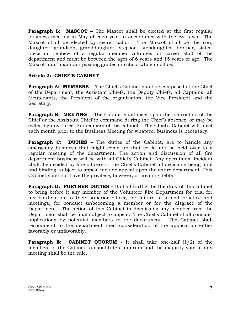**Paragraph L: MASCOT** – The Mascot shall be elected at the first regular business meeting in May of each year in accordance with the By-Laws. The Mascot shall be elected by secret ballot. The Mascot shall be the son, daughter, grandson, granddaughter, stepson, stepdaughter, brother, sister, niece or nephew of a regular member volunteer or career staff of the department and must be between the ages of 6 years and 15 years of age. The Mascot must maintain passing grades in school while in office.

## **Article 2: CHIEF'S CABINET**

**Paragraph A: MEMBERS** - The Chief's Cabinet shall be composed of the Chief of the Department, the Assistant Chiefs, the Deputy Chiefs, all Captains, all Lieutenants, the President of the organization, the Vice President and the Secretary.

**Paragraph B: MEETING -** The Cabinet shall meet upon the instruction of the Chief or the Assistant Chief in command during the Chief's absence, or may be called by any three (3) members of the cabinet. The Chief's Cabinet will meet each month prior to the Business Meeting for whatever business is necessary.

**Paragraph C: DUTIES –** The duties of the Cabinet, are to handle any emergency business that might come up that could not be held over to a regular meeting of the department. The action and discussion of all fire department business will be with all Chief's Cabinet. Any operational incident shall, be decided by line officers in the Chief's Cabinet all decisions being final and binding, subject to appeal include appeal upon the entire department. This Cabinet shall not have the privilege, however, of creating debts.

**Paragraph D: FURTHER DUTIES –** It shall further be the duty of this cabinet to bring before it any member of the Volunteer Fire Department for trial for insubordination to their superior officer, for failure to attend practice and meetings, for conduct unbecoming a member or for the disgrace of the Department. The action of this Cabinet in dismissing any member from the Department shall be final subject to appeal. The Chief's Cabinet shall consider applications by potential members to the department. The Cabinet shall recommend to the department their consideration of the application either favorably or unfavorably.

**Paragraph E: CABINET QUORUM** - It shall take one-half (1/2) of the members of the Cabinet to constitute a quorum and the majority vote in any meeting shall be the rule.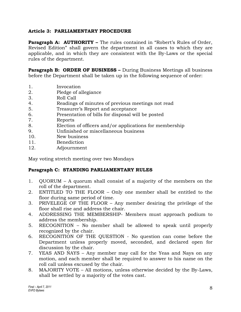# **Article 3: PARLIAMENTARY PROCEDURE**

**Paragraph A: AUTHORITY –** The rules contained in "Robert's Rules of Order, Revised Edition" shall govern the department in all cases to which they are applicable, and in which they are consistent with the By-Laws or the special rules of the department.

**Paragraph B: ORDER OF BUSINESS –** During Business Meetings all business before the Department shall be taken up in the following sequence of order:

- 1. Invocation
- 2. Pledge of allegiance
- 3. Roll Call
- 4. Readings of minutes of previous meetings not read
- 5. Treasurer's Report and acceptance
- 6. Presentation of bills for disposal will be posted
- 7. Reports
- 8. Election of officers and/or applications for membership
- 9. Unfinished or miscellaneous business
- 10. New business
- 11. Benediction
- 12. Adjournment

May voting stretch meeting over two Mondays

# **Paragraph C: STANDING PARLIAMENTARY RULES**

- 1. QUORUM A quorum shall consist of a majority of the members on the roll of the department.
- 2. ENTITLED TO THE FLOOR Only one member shall be entitled to the floor during same period of time.
- 3. PRIVELEGE OF THE FLOOR Any member desiring the privilege of the floor shall rise and address the chair.
- 4. ADDRESSING THE MEMBERSHIP- Members must approach podium to address the membership.
- 5. RECOGNITION No member shall be allowed to speak until properly recognized by the chair.
- 6. RECOGNITION OF THE QUESTION No question can come before the Department unless properly moved, seconded, and declared open for discussion by the chair.
- 7. YEAS AND NAYS Any member may call for the Yeas and Nays on any motion, and each member shall be required to answer to his name on the roll call unless excused by the chair.
- 8. MAJORITY VOTE All motions, unless otherwise decided by the By-Laws, shall be settled by a majority of the votes cast.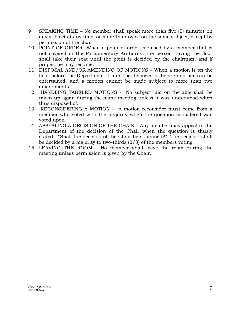- 9. SPEAKING TIME No member shall speak more than five (5) minutes on any subject at any time, or more than twice on the same subject, except by permission of the chair.
- 10. POINT OF ORDER -When a point of order is raised by a member that is not covered in the Parliamentary Authority, the person having the floor shall take their seat until the point is decided by the chairman, and if proper, he may resume.
- 11. DISPOSAL AND/OR AMENDING OF MOTIONS When a motion is on the floor before the Department it must be disposed of before another can be entertained, and a motion cannot be made subject to more than two amendments.
- 12. HANDLING TABELED MOTIONS No subject laid on the able shall be taken up again during the same meeting unless it was understood when thus disposed of.
- 13. RECONSIDERING A MOTION A motion reconsider must come from a member who voted with the majority when the question considered was voted upon.
- 14. APPEALING A DECISION OF THE CHAIR Any member may appeal to the Department of the decision of the Chair when the question is thusly stated: "Shall the decision of the Chair be sustained?" The decision shall be decided by a majority to two-thirds (2/3) of the members voting.
- 15. LEAVING THE ROOM No member shall leave the room during the meeting unless permission is given by the Chair.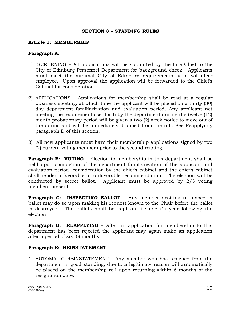#### **SECTION 3 – STANDING RULES**

#### **Article 1: MEMBERSHIP**

#### **Paragraph A:**

- 1) SCREENING All applications will be submitted by the Fire Chief to the City of Edinburg Personnel Department for background check. Applicants must meet the minimal City of Edinburg requirements as a volunteer employee. Upon approval the application will be forwarded to the Chief's Cabinet for consideration.
- 2) APPLICATIONS Applications for membership shall be read at a regular business meeting, at which time the applicant will be placed on a thirty (30) day department familiarization and evaluation period. Any applicant not meeting the requirements set forth by the department during the twelve (12) month probationary period will be given a two (2) week notice to move out of the dorms and will be immediately dropped from the roll. See Reapplying; paragraph D of this section.
- 3) All new applicants must have their membership applications signed by two (2) current voting members prior to the second reading.

**Paragraph B: VOTING** – Election to membership in this department shall be held upon completion of the department familiarization of the applicant and evaluation period, consideration by the chief's cabinet and the chief's cabinet shall render a favorable or unfavorable recommendation. The election will be conducted by secret ballot. Applicant must be approved by 2/3 voting members present.

**Paragraph C: INSPECTING BALLOT** – Any member desiring to inspect a ballot may do so upon making his request known to the Chair before the ballot is destroyed. The ballots shall be kept on file one (1) year following the election.

**Paragraph D: REAPPLYING** – After an application for membership to this department has been rejected the applicant may again make an application after a period of six (6) months.

#### **Paragraph E: REINSTATEMENT**

1. AUTOMATIC REINSTATEMENT - Any member who has resigned from the department in good standing, due to a legitimate reason will automatically be placed on the membership roll upon returning within 6 months of the resignation date.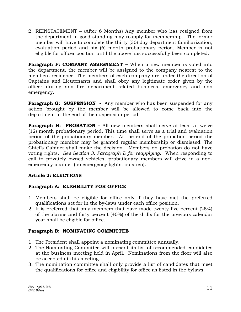2. REINSTATEMENT – (After 6 Months) Any member who has resigned from the department in good standing may reapply for membership. The former member will have to complete the thirty (30) day department familiarization, evaluation period and six (6) month probationary period. Member is not eligible for officer position until the above has successfully been completed.

**Paragraph F: COMPANY ASSIGNMENT –** When a new member is voted into the department, the member will be assigned to the company nearest to the members residence. The members of each company are under the direction of Captains and Lieutenants and shall obey any legitimate order given by the officer during any fire department related business, emergency and non emergency.

**Paragraph G: SUSPENSION -** Any member who has been suspended for any action brought by the member will be allowed to come back into the department at the end of the suspension period.

**Paragraph H: PROBATION –** All new members shall serve at least a twelve (12) month probationary period. This time shall serve as a trial and evaluation period of the probationary member. At the end of the probation period the probationary member may be granted regular membership or dismissed. The Chief's Cabinet shall make the decision. Members on probation do not have voting rights. *See Section 3, Paragraph D for reapplying.* When responding to call in privately owned vehicles, probationary members will drive in a nonemergency manner (no emergency lights, no siren).

# **Article 2: ELECTIONS**

# **Paragraph A: ELIGIBILITY FOR OFFICE**

- 1. Members shall be eligible for office only if they have met the preferred qualifications set for in the by-laws under each office position.
- 2. It is preferred that only members that have made twenty-five percent (25%) of the alarms and forty percent (40%) of the drills for the previous calendar year shall be eligible for office.

# **Paragraph B: NOMINATING COMMITTEE**

- 1. The President shall appoint a nominating committee annually.
- 2. The Nominating Committee will present its list of recommended candidates at the business meeting held in April. Nominations from the floor will also be accepted at this meeting.
- 3. The nomination committee shall only provide a list of candidates that meet the qualifications for office and eligibility for office as listed in the bylaws.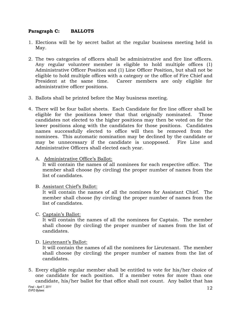# **Paragraph C: BALLOTS**

- 1. Elections will be by secret ballot at the regular business meeting held in May.
- 2. The two categories of officers shall be administrative and fire line officers. Any regular volunteer member is eligible to hold multiple offices (1) Administrative Officer Position and (1) Line Officer Position, but shall not be eligible to hold multiple offices with a category or the office of Fire Chief and President at the same time. Career members are only eligible for administrative officer positions.
- 3. Ballots shall be printed before the May business meeting.
- 4. There will be four ballot sheets. Each Candidate for fire line officer shall be eligible for the positions lower that that originally nominated. Those candidates not elected to the higher positions may then be voted on for the lower positions along with the candidates for those positions. Candidates names successfully elected to office will then be removed from the nominees. This automatic nomination may be declined by the candidate or may be unnecessary if the candidate is unopposed. Fire Line and Administrative Officers shall elected each year.
	- A. Administrative Office's Ballot:

It will contain the names of all nominees for each respective office. The member shall choose (by circling) the proper number of names from the list of candidates.

B. Assistant Chief's Ballot:

It will contain the names of all the nominees for Assistant Chief. The member shall choose (by circling) the proper number of names from the list of candidates.

C. Captain's Ballot:

It will contain the names of all the nominees for Captain. The member shall choose (by circling) the proper number of names from the list of candidates.

#### D. Lieutenant's Ballot:

It will contain the names of all the nominees for Lieutenant. The member shall choose (by circling) the proper number of names from the list of candidates.

5. Every eligible regular member shall be entitled to vote for his/her choice of one candidate for each position. If a member votes for more than one candidate, his/her ballot for that office shall not count. Any ballot that has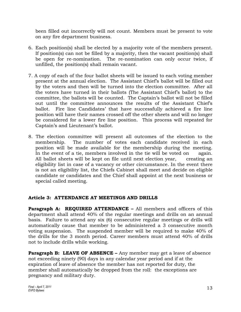been filled out incorrectly will not count. Members must be present to vote on any fire department business.

- 6. Each position(s) shall be elected by a majority vote of the members present. If position(s) can not be filled by a majority, then the vacant position(s) shall be open for re-nomination. The re-nomination can only occur twice, if unfilled, the position(s) shall remain vacant.
- 7. A copy of each of the four ballot sheets will be issued to each voting member present at the annual election. The Assistant Chief's ballot will be filled out by the voters and then will be turned into the election committee. After all the voters have turned in their ballots (The Assistant Chief's ballot) to the committee, the ballots will be counted. The Captain's ballot will not be filled out until the committee announces the results of the Assistant Chief's ballot. Fire line Candidates' that have successfully achieved a fire line position will have their names crossed off the other sheets and will no longer be considered for a lower fire line position. This process will repeated for Captain's and Lieutenant's ballot.
- 8. The election committee will present all outcomes of the election to the membership. The number of votes each candidate received in each position will be made available for the membership during the meeting. In the event of a tie, members involved in the tie will be voted on again. All ballot sheets will be kept on file until next election year, creating an eligibility list in case of a vacancy or other circumstance. In the event there is not an eligibility list, the Chiefs Cabinet shall meet and decide on eligible candidate or candidates and the Chief shall appoint at the next business or special called meeting.

# **Article 3: ATTENDANCE AT MEETINGS AND DRILLS**

**Paragraph A: REQUIRED ATTENDANCE –** All members and officers of this department shall attend 40% of the regular meetings and drills on an annual basis. Failure to attend any six (6) consecutive regular meetings or drills will automatically cause that member to be administered a 3 consecutive month voting suspension. The suspended member will be required to make 40% of the drills for the 3 month period. Career members must attend 40% of drills not to include drills while working.

**Paragraph B: LEAVE OF ABSENCE –** Any member may get a leave of absence not exceeding ninety (90) days in any calendar year period and if at the expiration of leave of absence the member has not reported for duty, the member shall automatically be dropped from the roll: the exceptions are pregnancy and military duty.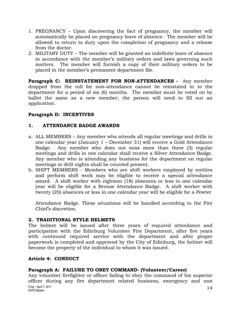- 1. PREGNANCY Upon discovering the fact of pregnancy, the member will automatically be placed on pregnancy leave of absence. The member will be allowed to return to duty upon the completion of pregnancy and a release from the doctor.
- 2. MILITARY DUTY The member will be granted an indefinite leave of absence in accordance with the member's military orders and laws governing such matters. The member will furnish a copy of their military orders to be placed in the member's permanent department file.

**Paragraph C: REINSTATEMENT FOR NON-ATTENDANCES -** Any member dropped from the roll for non-attendance cannot be reinstated in to the department for a period of six (6) months. The member must be voted on by ballot the same as a new member, the person will need to fill out an application.

# **Paragraph D: INCENTIVES**

# **1. ATTENDANCE BADGE AWARDS**

- a. ALL MEMBERS Any member who attends all regular meetings and drills in one calendar year (January 1 – December 31) will receive a Gold Attendance Badge. Any member who does not miss more than three (3) regular meetings and drills in one calendar shall receive a Silver Attendance Badge. Any member who is attending any business for the department on regular meetings or drill nights shall be counted present.
- b. SHIFT MEMBERS Members who are shift workers employed by entities and perform shift work may be eligible to receive a special attendance award. A shift worker with eighteen (18) absences or less in one calendar year will be eligible for a Bronze Attendance Badge. A shift worker with twenty (20) absences or less in one calendar year will be eligible for a Pewter

Attendance Badge. These situations will be handled according to the Fire Chief's discretion.

#### **2. TRADITIONAL STYLE HELMETS**

The helmet will be issued after three years of required attendance and participation with the Edinburg Volunteer Fire Department, after five years with continued required service with the department and after proper paperwork is completed and approved by the City of Edinburg, the helmet will become the property of the individual to whom it was issued.

# **Article 4: CONDUCT**

# **Paragraph A: FAILURE TO OBEY COMMAND- (Volunteer/Career)**

*Final – April 7, 2011 Final – April 7, 2011*<br>*EVFD Bylaws* 14 Any volunteer firefighter or officer failing to obey the command of his superior officer during any fire department related business, emergency and non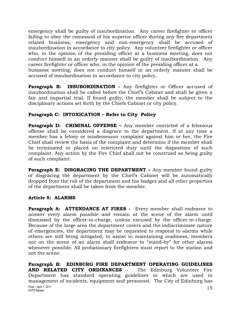emergency shall be guilty of insubordination. Any career firefighter or officer failing to obey the command of his superior officer during any fire department related business, emergency and non-emergency shall be accused of insubordination in accordance to city policy. Any volunteer firefighter or officer who, in the opinion of the presiding officer at a business meeting, does not conduct himself in an orderly manner shall be guilty of insubordination. Any career firefighter or officer who, in the opinion of the presiding officer at a business meeting, does not conduct himself in an orderly manner shall be accused of insubordination in accordance to city policy.

**Paragraph B: INSUBORDINATION -** Any firefighter or Officer accused of insubordination shall be called before the Chief's Cabinet and shall be given a fair and impartial trial. If found guilty, the member shall be subject to the disciplinary actions set forth by the Chiefs Cabinet or city policy.

# **Paragraph C: INTOXICATION – Refer to City Policy**

**Paragraph D: CRIMINAL OFFENSE –** Any member convicted of a felonious offense shall be considered a disgrace to the department. If at any time a member has a felony or misdemeanor complaint against him or her, the Fire Chief shall review the basis of the complaint and determine if the member shall be terminated or placed on restricted duty until the disposition of such complaint. Any action by the Fire Chief shall not be construed as being guilty of such complaint.

**Paragraph E: DISGRACING THE DEPARTMENT –** Any member found guilty of disgracing the department by the Chief's Cabinet will be automatically dropped from the roll of the department and his badges and all other properties of the department shall be taken from the member.

# **Article 5: ALARMS**

Paragraph A: ATTENDANCE AT FIRES - Every member shall endeavor to answer every alarm possible and remain at the scene of the alarm until dismissed by the officer-in-charge, unless excused by the officer-in-charge. Because of the large area the department covers and the indiscriminate nature of emergencies, the department may be requested to respond to alarms while others are still being mitigated; to assist in maintaining readiness, members not on the scene of an alarm shall endeavor to "stand-by" for other alarms whenever possible. All probationary firefighters must report to the station and not the scene.

*Final – April 7, 2011 Einal – April 7, 2011*<br>*EVFD Bylaws* 15 **Paragraph B: EDINBURG FIRE DEPARTMENT OPERATING GUIDELINES AND RELATED CITY ORDINANCES** - The Edinburg Volunteer Fire Department has standard operating guidelines in which are used in management of incidents, equipment and personnel. The City of Edinburg has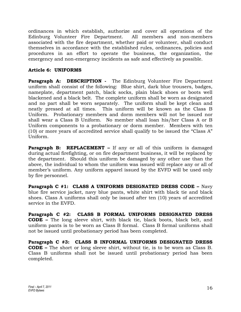ordinances in which establish, authorize and cover all operations of the Edinburg Volunteer Fire Department. All members and non-members associated with the fire department, whether paid or volunteer, shall conduct themselves in accordance with the established rules, ordinances, policies and procedures in an effort to operate the business, the organization, the emergency and non-emergency incidents as safe and effectively as possible.

# **Article 6: UNIFORMS**

**Paragraph A: DESCRIPTION -** The Edinburg Volunteer Fire Department uniform shall consist of the following: Blue shirt, dark blue trousers, badges, nameplate, department patch, black socks, plain black shoes or boots well blackened and a black belt. The complete uniform shall be worn as designated and no part shall be worn separately. The uniform shall be kept clean and neatly pressed at all times. This uniform will be known as the Class B Uniform. Probationary members and dorm members will not be issued nor shall wear a Class B Uniform. No member shall loan his/her Class A or B Uniform components to a probationary or dorm member. Members with ten (10) or more years of accredited service shall qualify to be issued the "Class A" Uniform.

**Paragraph B: REPLACEMENT –** If any or all of this uniform is damaged during actual firefighting, or on fire department business, it will be replaced by the department. Should this uniform be damaged by any other use than the above, the individual to whom the uniform was issued will replace any or all of member's uniform. Any uniform apparel issued by the EVFD will be used only by fire personnel.

**Paragraph C #1: CLASS A UNIFORMS DESIGNATED DRESS CODE –** Navy blue fire service jacket, navy blue pants, white shirt with black tie and black shoes. Class A uniforms shall only be issued after ten (10) years of accredited service in the EVFD.

**Paragraph C #2: CLASS B FORMAL UNIFORMS DESIGNATED DRESS CODE –** The long sleeve shirt, with black tie, black boots, black belt, and uniform pants is to be worn as Class B formal. Class B formal uniforms shall not be issued until probationary period has been completed.

**Paragraph C #3: CLASS B INFORMAL UNIFORMS DESIGNATED DRESS CODE –** The short or long sleeve shirt, without tie, is to be worn as Class B. Class B uniforms shall not be issued until probationary period has been completed.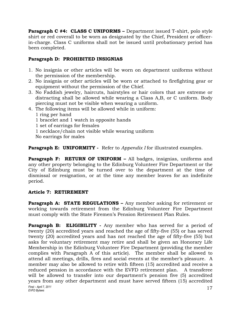**Paragraph C #4: CLASS C UNIFORMS –** Department issued T-shirt, polo style shirt or red coverall to be worn as designated by the Chief, President or officerin-charge. Class C uniforms shall not be issued until probationary period has been completed.

# **Paragraph D: PROHIBITED INSIGNIAS**

- 1. No insignia or other articles will be worn on department uniforms without the permission of the membership.
- 2. No insignia or other articles will be worn or attached to firefighting gear or equipment without the permission of the Chief.
- 3. No Faddish jewelry, haircuts, hairstyles or hair colors that are extreme or distracting shall be allowed while wearing a Class A,B, or C uniform. Body piercing must not be visible when wearing a uniform.
- 4. The following items will be allowed while in uniform:

1 ring per hand 1 bracelet and 1 watch in opposite hands 1 set of earrings for females 1 necklace/chain not visible while wearing uniform No earrings for males

**Paragraph E: UNIFORMITY** - Refer to *Appendix I* for illustrated examples.

**Paragraph F: RETURN OF UNIFORM - All badges, insignias, uniforms and** any other property belonging to the Edinburg Volunteer Fire Department or the City of Edinburg must be turned over to the department at the time of dismissal or resignation, or at the time any member leaves for an indefinite period.

# **Article 7: RETIREMENT**

**Paragraph A: STATE REGULATIONS –** Any member asking for retirement or working towards retirement from the Edinburg Volunteer Fire Department must comply with the State Firemen's Pension Retirement Plan Rules.

*Final – April 7, 2011 Einal – April 7, 2011*<br>*EVFD Bylaws* 17 **Paragraph B: ELIGIBILITY** - Any member who has served for a period of twenty (20) accredited years and reached the age of fifty-five (55) or has served twenty (20) accredited years and has not reached the age of fifty-five (55) but asks for voluntary retirement may retire and shall be given an Honorary Life Membership in the Edinburg Volunteer Fire Department (providing the member complies with Paragraph A of this article). The member shall be allowed to attend all meetings, drills, fires and social events at the member's pleasure. A member may also be allowed to retire with fifteen (15) accredited and receive a reduced pension in accordance with the EVFD retirement plan. A transferee will be allowed to transfer into our department's pension five (5) accredited years from any other department and must have served fifteen (15) accredited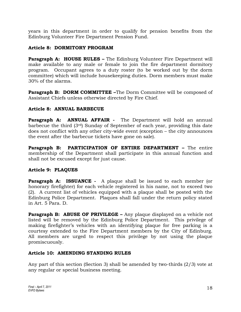years in this department in order to qualify for pension benefits from the Edinburg Volunteer Fire Department Pension Fund.

# **Article 8: DORMITORY PROGRAM**

**Paragraph A: HOUSE RULES –** The Edinburg Volunteer Fire Department will make available to any male or female to join the fire department dormitory program. Occupant agrees to a duty roster (to be worked out by the dorm committee) which will include housekeeping duties. Dorm members must make 30% of the alarms.

**Paragraph B: DORM COMMITTEE –**The Dorm Committee will be composed of Assistant Chiefs unless otherwise directed by Fire Chief.

# **Article 8: ANNUAL BARBECUE**

**Paragraph A: ANNUAL AFFAIR -** The Department will hold an annual barbecue the third (3rd) Sunday of September of each year, providing this date does not conflict with any other city-wide event (exception – the city announces the event after the barbecue tickets have gone on sale).

**Paragraph B: PARTICIPATION OF ENTIRE DEPARTMENT –** The entire membership of the Department shall participate in this annual function and shall not be excused except for just cause.

# **Article 9: PLAQUES**

**Paragraph A: ISSUANCE** - A plaque shall be issued to each member (or honorary firefighter) for each vehicle registered in his name, not to exceed two (2). A current list of vehicles equipped with a plaque shall be posted with the Edinburg Police Department. Plaques shall fall under the return policy stated in Art. 5 Para. D.

**Paragraph B: ABUSE OF PRIVILEGE –** Any plaque displayed on a vehicle not listed will be removed by the Edinburg Police Department. This privilege of making firefighter's vehicles with an identifying plaque for free parking is a courtesy extended to the Fire Department members by the City of Edinburg. All members are urged to respect this privilege by not using the plaque promiscuously.

# **Article 10: AMENDING STANDING RULES**

Any part of this section (Section 3) shall be amended by two-thirds (2/3) vote at any regular or special business meeting.